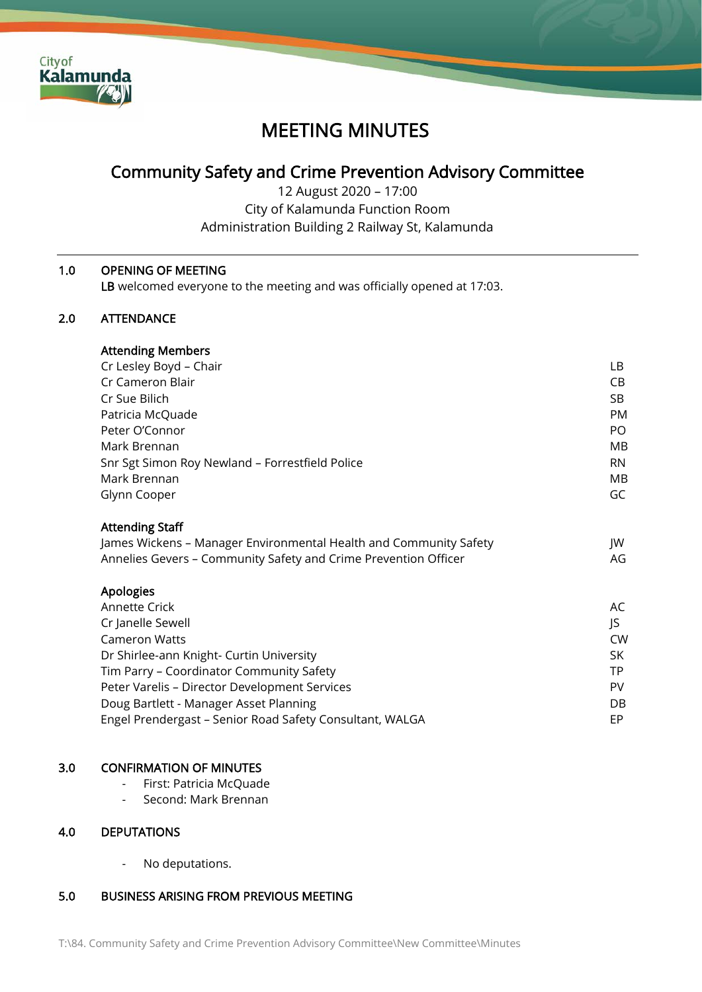

# MEETING MINUTES

# Community Safety and Crime Prevention Advisory Committee

12 August 2020 – 17:00 City of Kalamunda Function Room Administration Building 2 Railway St, Kalamunda

# 1.0 OPENING OF MEETING

LB welcomed everyone to the meeting and was officially opened at 17:03.

# 2.0 ATTENDANCE

| <b>Attending Members</b>                        |           |
|-------------------------------------------------|-----------|
| Cr Lesley Boyd - Chair                          | LВ        |
| Cr Cameron Blair                                | CB        |
| Cr Sue Bilich                                   | SB        |
| Patricia McQuade                                | <b>PM</b> |
| Peter O'Connor                                  | PO.       |
| Mark Brennan                                    | MВ        |
| Snr Sgt Simon Roy Newland - Forrestfield Police | <b>RN</b> |
| Mark Brennan                                    | MB        |
| Glynn Cooper                                    | GC        |

# Attending Staff

| James Wickens - Manager Environmental Health and Community Safety | JW |
|-------------------------------------------------------------------|----|
| Annelies Gevers - Community Safety and Crime Prevention Officer   | AG |

| Apologies                                                |           |
|----------------------------------------------------------|-----------|
| Annette Crick                                            | AC        |
| Cr Janelle Sewell                                        | IS.       |
| <b>Cameron Watts</b>                                     | <b>CW</b> |
| Dr Shirlee-ann Knight- Curtin University                 | SK.       |
| Tim Parry - Coordinator Community Safety                 | <b>TP</b> |
| Peter Varelis - Director Development Services            | PV        |
| Doug Bartlett - Manager Asset Planning                   | DB        |
| Engel Prendergast - Senior Road Safety Consultant, WALGA | EP        |

#### 3.0 CONFIRMATION OF MINUTES

- First: Patricia McQuade
- Second: Mark Brennan

# 4.0 DEPUTATIONS

- No deputations.

# 5.0 BUSINESS ARISING FROM PREVIOUS MEETING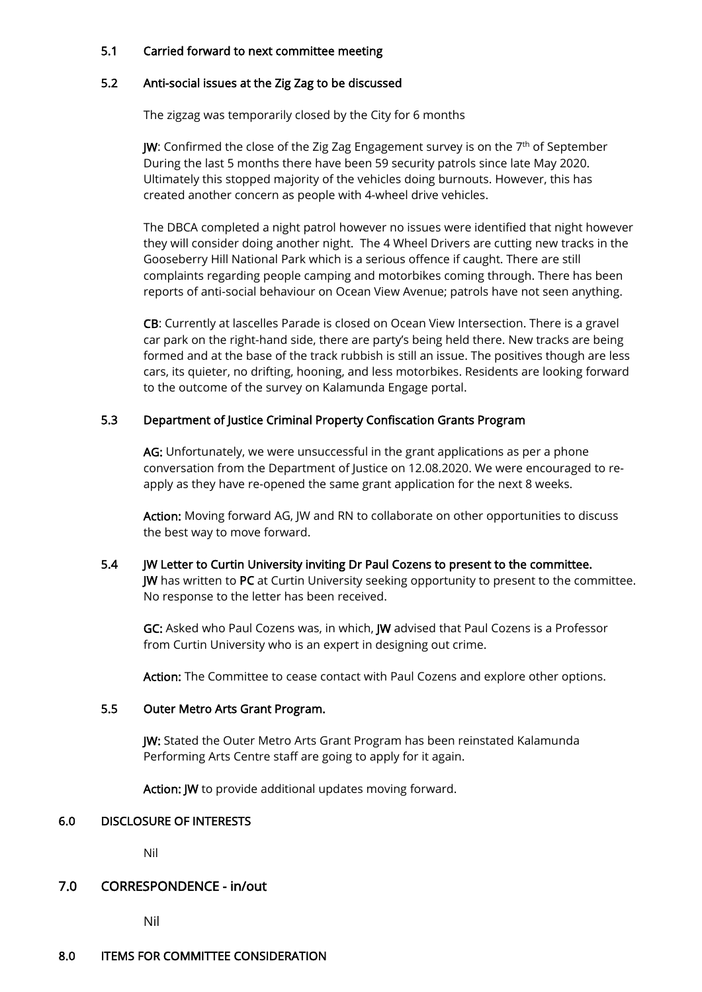## 5.1 Carried forward to next committee meeting

#### 5.2 Anti-social issues at the Zig Zag to be discussed

The zigzag was temporarily closed by the City for 6 months

JW: Confirmed the close of the Zig Zag Engagement survey is on the 7<sup>th</sup> of September During the last 5 months there have been 59 security patrols since late May 2020. Ultimately this stopped majority of the vehicles doing burnouts. However, this has created another concern as people with 4-wheel drive vehicles.

The DBCA completed a night patrol however no issues were identified that night however they will consider doing another night. The 4 Wheel Drivers are cutting new tracks in the Gooseberry Hill National Park which is a serious offence if caught. There are still complaints regarding people camping and motorbikes coming through. There has been reports of anti-social behaviour on Ocean View Avenue; patrols have not seen anything.

CB: Currently at lascelles Parade is closed on Ocean View Intersection. There is a gravel car park on the right-hand side, there are party's being held there. New tracks are being formed and at the base of the track rubbish is still an issue. The positives though are less cars, its quieter, no drifting, hooning, and less motorbikes. Residents are looking forward to the outcome of the survey on Kalamunda Engage portal.

# 5.3 Department of Justice Criminal Property Confiscation Grants Program

AG: Unfortunately, we were unsuccessful in the grant applications as per a phone conversation from the Department of Justice on 12.08.2020. We were encouraged to reapply as they have re-opened the same grant application for the next 8 weeks.

Action: Moving forward AG, JW and RN to collaborate on other opportunities to discuss the best way to move forward.

# 5.4 JW Letter to Curtin University inviting Dr Paul Cozens to present to the committee. JW has written to PC at Curtin University seeking opportunity to present to the committee. No response to the letter has been received.

GC: Asked who Paul Cozens was, in which, JW advised that Paul Cozens is a Professor from Curtin University who is an expert in designing out crime.

Action: The Committee to cease contact with Paul Cozens and explore other options.

# 5.5 Outer Metro Arts Grant Program.

JW: Stated the Outer Metro Arts Grant Program has been reinstated Kalamunda Performing Arts Centre staff are going to apply for it again.

Action: JW to provide additional updates moving forward.

#### 6.0 DISCLOSURE OF INTERESTS

Nil

# 7.0 CORRESPONDENCE - in/out

Nil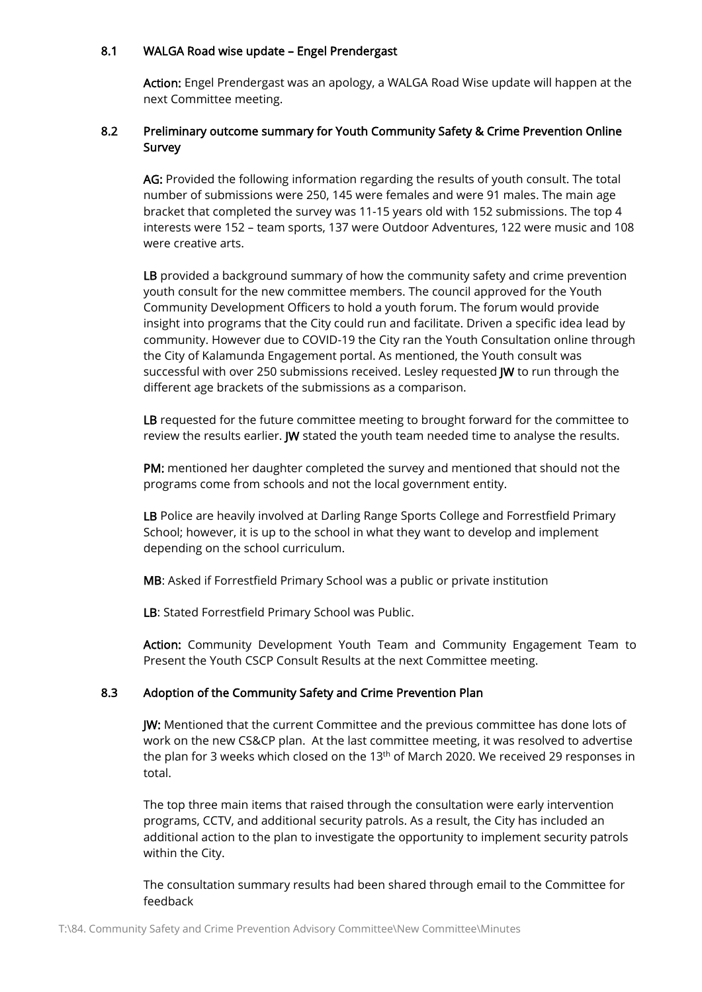#### 8.1 WALGA Road wise update – Engel Prendergast

Action: Engel Prendergast was an apology, a WALGA Road Wise update will happen at the next Committee meeting.

# 8.2 Preliminary outcome summary for Youth Community Safety & Crime Prevention Online Survey

AG: Provided the following information regarding the results of youth consult. The total number of submissions were 250, 145 were females and were 91 males. The main age bracket that completed the survey was 11-15 years old with 152 submissions. The top 4 interests were 152 – team sports, 137 were Outdoor Adventures, 122 were music and 108 were creative arts.

LB provided a background summary of how the community safety and crime prevention youth consult for the new committee members. The council approved for the Youth Community Development Officers to hold a youth forum. The forum would provide insight into programs that the City could run and facilitate. Driven a specific idea lead by community. However due to COVID-19 the City ran the Youth Consultation online through the City of Kalamunda Engagement portal. As mentioned, the Youth consult was successful with over 250 submissions received. Lesley requested JW to run through the different age brackets of the submissions as a comparison.

LB requested for the future committee meeting to brought forward for the committee to review the results earlier. JW stated the youth team needed time to analyse the results.

PM: mentioned her daughter completed the survey and mentioned that should not the programs come from schools and not the local government entity.

LB Police are heavily involved at Darling Range Sports College and Forrestfield Primary School; however, it is up to the school in what they want to develop and implement depending on the school curriculum.

MB: Asked if Forrestfield Primary School was a public or private institution

LB: Stated Forrestfield Primary School was Public.

Action: Community Development Youth Team and Community Engagement Team to Present the Youth CSCP Consult Results at the next Committee meeting.

#### 8.3 Adoption of the Community Safety and Crime Prevention Plan

JW: Mentioned that the current Committee and the previous committee has done lots of work on the new CS&CP plan. At the last committee meeting, it was resolved to advertise the plan for 3 weeks which closed on the 13<sup>th</sup> of March 2020. We received 29 responses in total.

The top three main items that raised through the consultation were early intervention programs, CCTV, and additional security patrols. As a result, the City has included an additional action to the plan to investigate the opportunity to implement security patrols within the City.

The consultation summary results had been shared through email to the Committee for feedback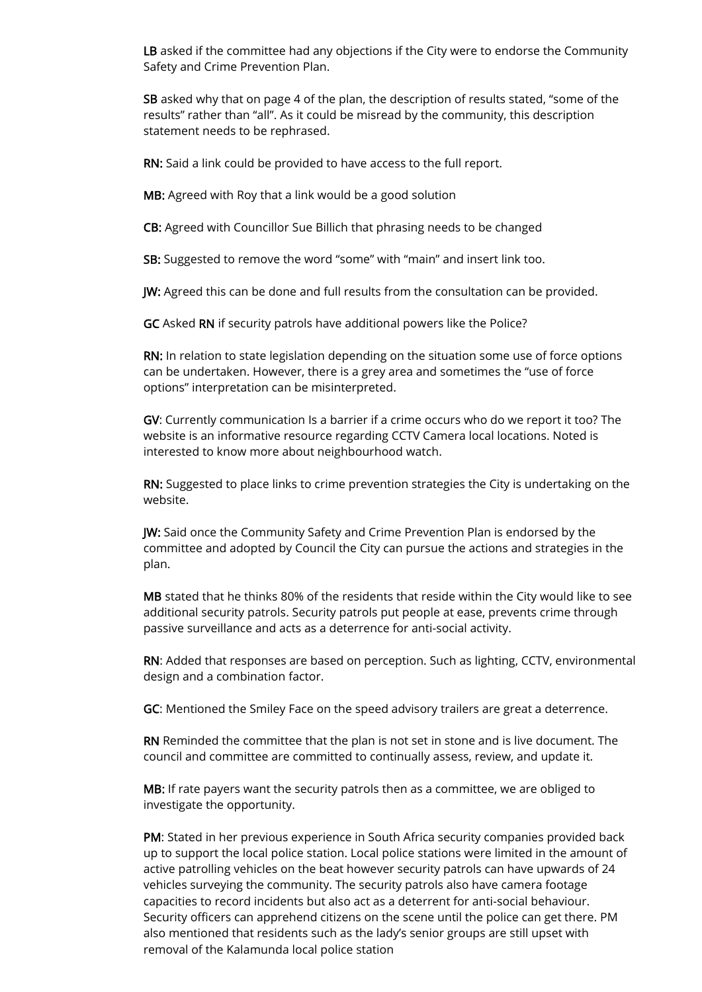LB asked if the committee had any objections if the City were to endorse the Community Safety and Crime Prevention Plan.

SB asked why that on page 4 of the plan, the description of results stated, "some of the results" rather than "all". As it could be misread by the community, this description statement needs to be rephrased.

RN: Said a link could be provided to have access to the full report.

MB: Agreed with Roy that a link would be a good solution

CB: Agreed with Councillor Sue Billich that phrasing needs to be changed

SB: Suggested to remove the word "some" with "main" and insert link too.

JW: Agreed this can be done and full results from the consultation can be provided.

GC Asked RN if security patrols have additional powers like the Police?

RN: In relation to state legislation depending on the situation some use of force options can be undertaken. However, there is a grey area and sometimes the "use of force options" interpretation can be misinterpreted.

GV: Currently communication Is a barrier if a crime occurs who do we report it too? The website is an informative resource regarding CCTV Camera local locations. Noted is interested to know more about neighbourhood watch.

RN: Suggested to place links to crime prevention strategies the City is undertaking on the website.

JW: Said once the Community Safety and Crime Prevention Plan is endorsed by the committee and adopted by Council the City can pursue the actions and strategies in the plan.

MB stated that he thinks 80% of the residents that reside within the City would like to see additional security patrols. Security patrols put people at ease, prevents crime through passive surveillance and acts as a deterrence for anti-social activity.

RN: Added that responses are based on perception. Such as lighting, CCTV, environmental design and a combination factor.

GC: Mentioned the Smiley Face on the speed advisory trailers are great a deterrence.

RN Reminded the committee that the plan is not set in stone and is live document. The council and committee are committed to continually assess, review, and update it.

MB: If rate payers want the security patrols then as a committee, we are obliged to investigate the opportunity.

PM: Stated in her previous experience in South Africa security companies provided back up to support the local police station. Local police stations were limited in the amount of active patrolling vehicles on the beat however security patrols can have upwards of 24 vehicles surveying the community. The security patrols also have camera footage capacities to record incidents but also act as a deterrent for anti-social behaviour. Security officers can apprehend citizens on the scene until the police can get there. PM also mentioned that residents such as the lady's senior groups are still upset with removal of the Kalamunda local police station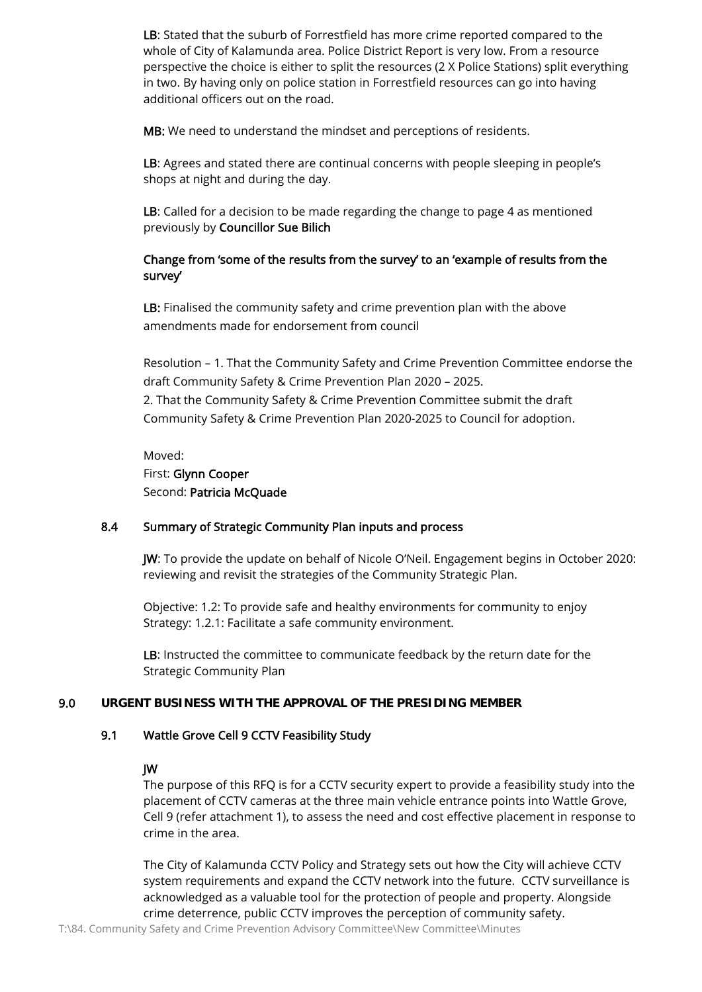LB: Stated that the suburb of Forrestfield has more crime reported compared to the whole of City of Kalamunda area. Police District Report is very low. From a resource perspective the choice is either to split the resources (2 X Police Stations) split everything in two. By having only on police station in Forrestfield resources can go into having additional officers out on the road.

MB: We need to understand the mindset and perceptions of residents.

LB: Agrees and stated there are continual concerns with people sleeping in people's shops at night and during the day.

LB: Called for a decision to be made regarding the change to page 4 as mentioned previously by Councillor Sue Bilich

# Change from 'some of the results from the survey' to an 'example of results from the survey'

LB: Finalised the community safety and crime prevention plan with the above amendments made for endorsement from council

Resolution – 1. That the Community Safety and Crime Prevention Committee endorse the draft Community Safety & Crime Prevention Plan 2020 – 2025. 2. That the Community Safety & Crime Prevention Committee submit the draft Community Safety & Crime Prevention Plan 2020-2025 to Council for adoption.

Moved: First: Glynn Cooper Second: Patricia McQuade

# 8.4 Summary of Strategic Community Plan inputs and process

JW: To provide the update on behalf of Nicole O'Neil. Engagement begins in October 2020: reviewing and revisit the strategies of the Community Strategic Plan.

Objective: 1.2: To provide safe and healthy environments for community to enjoy Strategy: 1.2.1: Facilitate a safe community environment.

LB: Instructed the committee to communicate feedback by the return date for the Strategic Community Plan

#### 9.0 **URGENT BUSINESS WITH THE APPROVAL OF THE PRESIDING MEMBER**

#### 9.1 Wattle Grove Cell 9 CCTV Feasibility Study

#### JW

The purpose of this RFQ is for a CCTV security expert to provide a feasibility study into the placement of CCTV cameras at the three main vehicle entrance points into Wattle Grove, Cell 9 (refer attachment 1), to assess the need and cost effective placement in response to crime in the area.

The City of Kalamunda CCTV Policy and Strategy sets out how the City will achieve CCTV system requirements and expand the CCTV network into the future. CCTV surveillance is acknowledged as a valuable tool for the protection of people and property. Alongside crime deterrence, public CCTV improves the perception of community safety.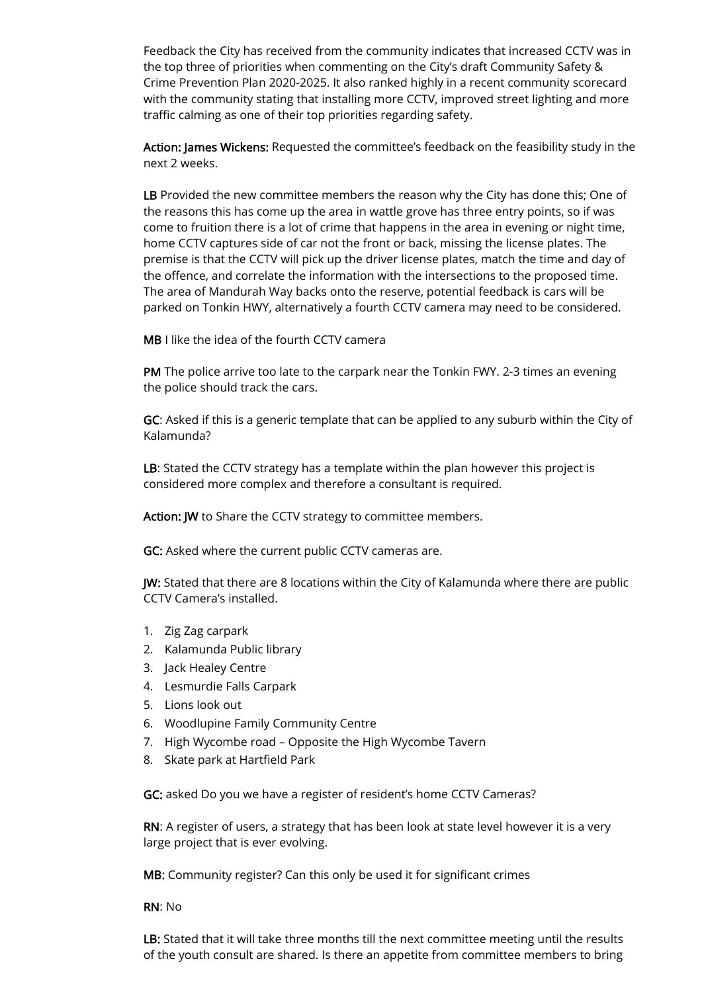Feedback the City has received from the community indicates that increased CCTV was in the top three of priorities when commenting on the City's draft Community Safety & Crime Prevention Plan 2020-2025. It also ranked highly in a recent community scorecard with the community stating that installing more CCTV, improved street lighting and more traffic calming as one of their top priorities regarding safety.

Action: James Wickens: Requested the committee's feedback on the feasibility study in the next 2 weeks.

LB Provided the new committee members the reason why the City has done this; One of the reasons this has come up the area in wattle grove has three entry points, so if was come to fruition there is a lot of crime that happens in the area in evening or night time, home CCTV captures side of car not the front or back, missing the license plates. The premise is that the CCTV will pick up the driver license plates, match the time and day of the offence, and correlate the information with the intersections to the proposed time. The area of Mandurah Way backs onto the reserve, potential feedback is cars will be parked on Tonkin HWY, alternatively a fourth CCTV camera may need to be considered.

MB I like the idea of the fourth CCTV camera

PM The police arrive too late to the carpark near the Tonkin FWY. 2-3 times an evening the police should track the cars.

GC: Asked if this is a generic template that can be applied to any suburb within the City of Kalamunda?

LB: Stated the CCTV strategy has a template within the plan however this project is considered more complex and therefore a consultant is required.

Action: JW to Share the CCTV strategy to committee members.

GC: Asked where the current public CCTV cameras are.

JW: Stated that there are 8 locations within the City of Kalamunda where there are public CCTV Camera's installed.

- 1. Zig Zag carpark
- 2. Kalamunda Public library
- 3. Jack Healey Centre
- 4. Lesmurdie Falls Carpark
- 5. Lions look out
- 6. Woodlupine Family Community Centre
- 7. High Wycombe road Opposite the High Wycombe Tavern
- 8. Skate park at Hartfield Park

GC: asked Do you we have a register of resident's home CCTV Cameras?

RN: A register of users, a strategy that has been look at state level however it is a very large project that is ever evolving.

MB: Community register? Can this only be used it for significant crimes

RN: No

LB: Stated that it will take three months till the next committee meeting until the results of the youth consult are shared. Is there an appetite from committee members to bring